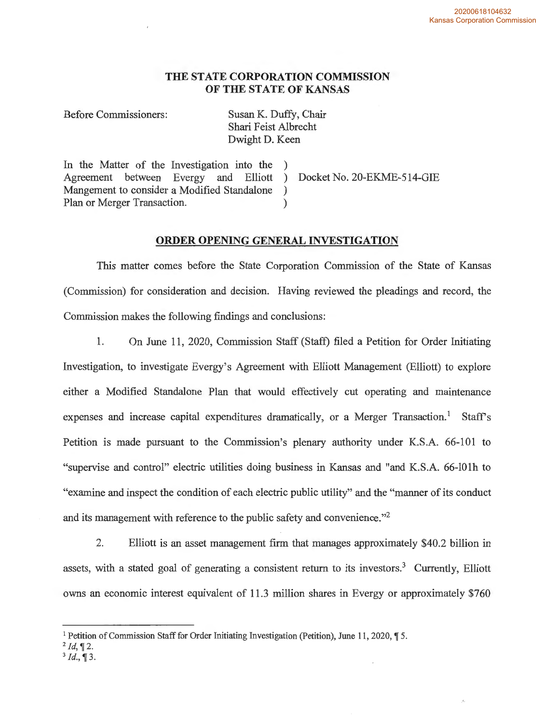# **THE STATE CORPORATION COMMISSION OF THE STATE OF KANSAS**

Before Commissioners: Susan K. Duffy, Chair

Shari Feist Albrecht Dwight D. Keen

In the Matter of the Investigation into the ) Agreement between Evergy and Elliott ) Docket No. 20-EKME-514-GIE Mangement to consider a Modified Standalone ) Plan or Merger Transaction.

## **ORDER OPENING GENERAL INVESTIGATION**

This matter comes before the State Corporation Commission of the State of Kansas (Commission) for consideration and decision. Having reviewed the pleadings and record, the Commission makes the following findings and conclusions:

1. On June 11, 2020, Commission Staff (Staff) filed a Petition for Order Initiating Investigation, to investigate Evergy's Agreement with Elliott Management (Elliott) to explore either a Modified Standalone Plan that would effectively cut operating and maintenance expenses and increase capital expenditures dramatically, or a Merger Transaction.<sup>1</sup> Staff's Petition is made pursuant to the Commission's plenary authority under K.S.A. 66-101 to "supervise and control" electric utilities doing business in Kansas and "and K.S.A. 66-lOlh to "examine and inspect the condition of each electric public utility" and the "manner of its conduct and its management with reference to the public safety and convenience."<sup>2</sup>

2. Elliott is an asset management firm that manages approximately \$40.2 billion in assets, with a stated goal of generating a consistent return to its investors.<sup>3</sup> Currently, Elliott owns an economic interest equivalent of 11.3 million shares in Evergy or approximately \$760

<sup>1</sup> Petition of Commission Staff for Order Initiating Investigation (Petition), June 11, 2020, **,r** 5.

 $^{2}$ *Id*, **1**2.

 $^{3}$ *Id.*, **[3.**]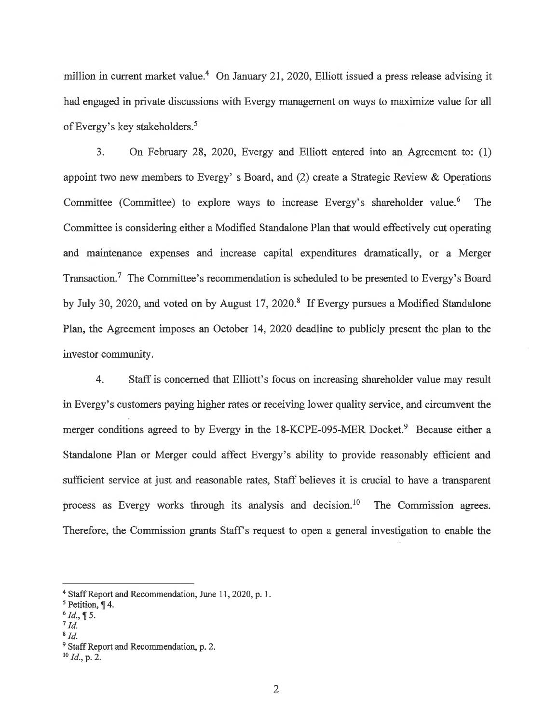million in current market value.<sup>4</sup> On January 21, 2020, Elliott issued a press release advising it had engaged in private discussions with Evergy management on ways to maximize value for all of Evergy's key stakeholders.<sup>5</sup>

3. On February 28, 2020, Evergy and Elliott entered into an Agreement to: (1) appoint two new members to Evergy's Board, and  $(2)$  create a Strategic Review & Operations Committee (Committee) to explore ways to increase Evergy's shareholder value.<sup>6</sup> The Committee is considering either a Modified Standalone Plan that would effectively cut operating and maintenance expenses and increase capital expenditures dramatically, or a Merger Transaction.<sup>7</sup> The Committee's recommendation is scheduled to be presented to Evergy's Board by July 30, 2020, and voted on by August 17, 2020.<sup>8</sup> If Evergy pursues a Modified Standalone Plan, the Agreement imposes an October 14, 2020 deadline to publicly present the plan to the investor community.

4. Staff is concerned that Elliott's focus on increasing shareholder value may result in Evergy's customers paying higher rates or receiving lower quality service, and circumvent the merger conditions agreed to by Evergy in the 18-KCPE-095-MER Docket.<sup>9</sup> Because either a Standalone Plan or Merger could affect Evergy's ability to provide reasonably efficient and sufficient service at just and reasonable rates, Staff believes it is crucial to have a transparent process as Evergy works through its analysis and decision.<sup>10</sup> The Commission agrees. Therefore, the Commission grants Staff's request to open a general investigation to enable the

- $6$  *Id.*,  $\sqrt{\ }5$ .
- $^7$  *Id.*
- 8 *Id.*

<sup>4</sup> Staff Report and Recommendation, June 11, 2020, p. I.

<sup>&</sup>lt;sup>5</sup> Petition, ¶ 4.

<sup>&</sup>lt;sup>9</sup> Staff Report and Recommendation, p. 2.

 $^{10}$  Id., p. 2.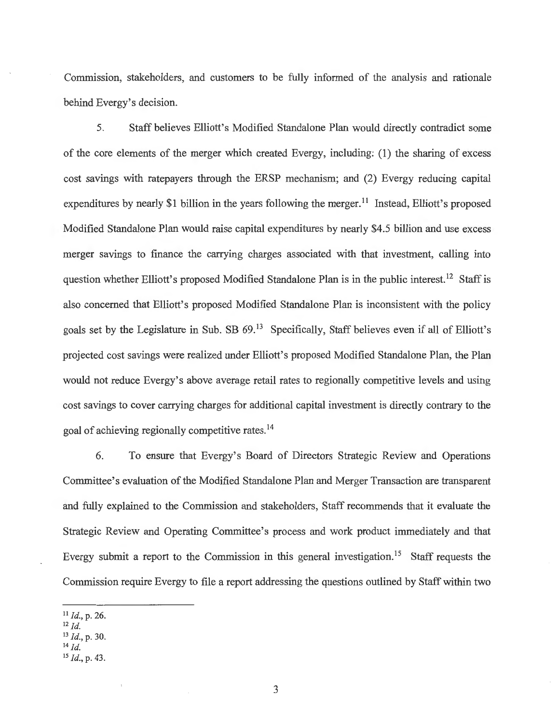Commission, stakeholders, and customers to be fully informed of the analysis and rationale behind Evergy's decision.

5. Staff believes Elliott's Modified Standalone Plan would directly contradict some of the core elements of the merger which created Evergy, including: (1) the sharing of excess cost savings with ratepayers through the ERSP mechanism; and (2) Evergy reducing capital expenditures by nearly \$1 billion in the years following the merger.<sup>11</sup> Instead, Elliott's proposed Modified Standalone Plan would raise capital expenditures by nearly \$4.5 billion and use excess merger savings to finance the carrying charges associated with that investment, calling into question whether Elliott's proposed Modified Standalone Plan is in the public interest.<sup>12</sup> Staff is also concerned that Elliott's proposed Modified Standalone Plan is inconsistent with the policy goals set by the Legislature in Sub. SB 69.<sup>13</sup> Specifically, Staff believes even if all of Elliott's projected cost savings were realized under Elliott's proposed Modified Standalone Plan, the Plan would not reduce Evergy's above average retail rates to regionally competitive levels and using cost savings to cover carrying charges for additional capital investment is directly contrary to the goal of achieving regionally competitive rates. <sup>14</sup>

6. To ensure that Evergy's Board of Directors Strategic Review and Operations Committee's evaluation of the Modified Standalone Plan and Merger Transaction are transparent and fully explained to the Commission and stakeholders, Staff recommends that it evaluate the Strategic Review and Operating Committee's process and work product immediately and that Evergy submit a report to the Commission in this general investigation.<sup>15</sup> Staff requests the Commission require Evergy to file a report addressing the questions outlined by Staff within two

14 *Id.* 

<sup>11</sup>*Id.,* p. 26.

 $^{12}$  *Id.* 

<sup>13</sup>*Id.,* p. 30.

<sup>15</sup>*Id.,* p. 43 .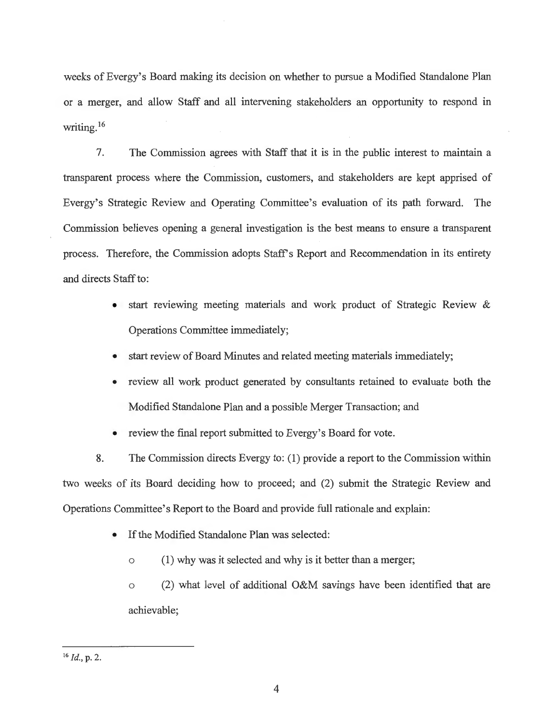weeks of Evergy's Board making its decision on whether to pursue a Modified Standalone Plan or a merger, and allow Staff and all intervening stakeholders an opportunity to respond in writing.<sup>16</sup>

7. The Commission agrees with Staff that it is in the public interest to maintain a transparent process where the Commission, customers, and stakeholders are kept apprised of Evergy's Strategic Review and Operating Committee's evaluation of its path forward. The Commission believes opening a general investigation is the best means to ensure a transparent process. Therefore, the Commission adopts Staff's Report and Recommendation in its entirety and directs Staff to:

- start reviewing meeting materials and work product of Strategic Review & Operations Committee immediately;
- start review of Board Minutes and related meeting materials immediately;
- review all work product generated by consultants retained to evaluate both the Modified Standalone Plan and a possible Merger Transaction; and
- review the final report submitted to Evergy's Board for vote.

8. The Commission directs Evergy to: (1) provide a report to the Commission within two weeks of its Board deciding how to proceed; and (2) submit the Strategic Review and Operations Committee's Report to the Board and provide full rationale and explain:

- If the Modified Standalone Plan was selected:
	- o (1) why was it selected and why is it better than a merger;

o (2) what level of additional O&M savings have been identified that are achievable;

<sup>&</sup>lt;sup>16</sup> *Id.*, p. 2.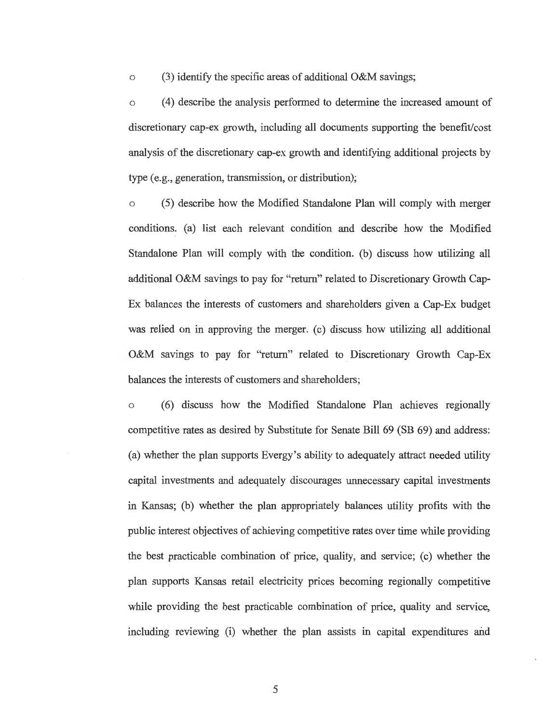o (3) identify the specific areas of additional O&M savings;

o ( 4) describe the analysis performed to determine the increased amount of discretionary cap-ex growth, including all documents supporting the benefit/cost analysis of the discretionary cap-ex growth and identifying additional projects by type (e.g., generation, transmission, or distribution);

o (5) describe how the Modified Standalone Plan will comply with merger conditions. (a) list each relevant condition and describe how the Modified Standalone Plan will comply with the condition. (b) discuss how utilizing all additional O&M savings to pay for "return" related to Discretionary Growth Cap-Ex balances the interests of customers and shareholders given a Cap-Ex budget was relied on in approving the merger. (c) discuss how utilizing all additional O&M savings to pay for "return" related to Discretionary Growth Cap-Ex balances the interests of customers and shareholders;

o (6) discuss how the Modified Standalone Plan achieves regionally competitive rates as desired by Substitute for Senate Bill 69 (SB 69) and address: (a) whether the plan supports Evergy's ability to adequately attract needed utility capital investments and adequately discourages unnecessary capital investments in Kansas; (b) whether the plan appropriately balances utility profits with the public interest objectives of achieving competitive rates over time while providing the best practicable combination of price, quality, and service;  $(c)$  whether the plan supports Kansas retail electricity prices becoming regionally competitive while providing the best practicable combination of price, quality and service, including reviewing (i) whether the plan assists in capital expenditures and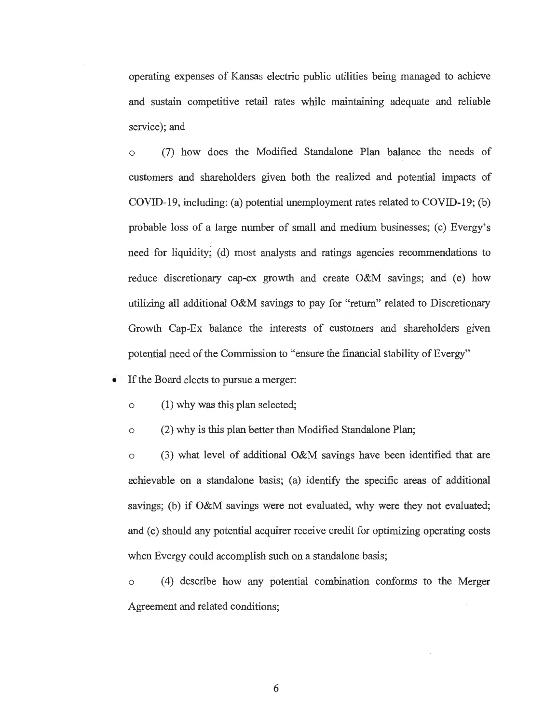operating expenses of Kansas electric public utilities being managed to achieve and sustain competitive retail rates while maintaining adequate and reliable service); and

(7) how does the Modified Standalone Plan balance the needs of customers and shareholders given both the realized and potential impacts of COVID-19, including: (a) potential unemployment rates related to COVID-19; (b) probable loss of a large number of small and medium businesses; (c) Evergy's need for liquidity; (d) most analysts and ratings agencies recommendations to reduce discretionary cap-ex growth and create O&M savings; and (e) how utilizing all additional O&M savings to pay for "return" related to Discretionary Growth Cap-Ex balance the interests of customers and shareholders given potential need of the Commission to "ensure the financial stability of Evergy"

If the Board elects to pursue a merger:

o (1) why was this plan selected;

o (2) why is this plan better than Modified Standalone Plan;

 $\circ$  (3) what level of additional O&M savings have been identified that are achievable on a standalone basis; (a) identify the specific areas of additional savings; (b) if O&M savings were not evaluated, why were they not evaluated; and (c) should any potential acquirer receive credit for optimizing operating costs when Evergy could accomplish such on a standalone basis;

o ( 4) describe how any potential combination conforms to the Merger Agreement and related conditions;

6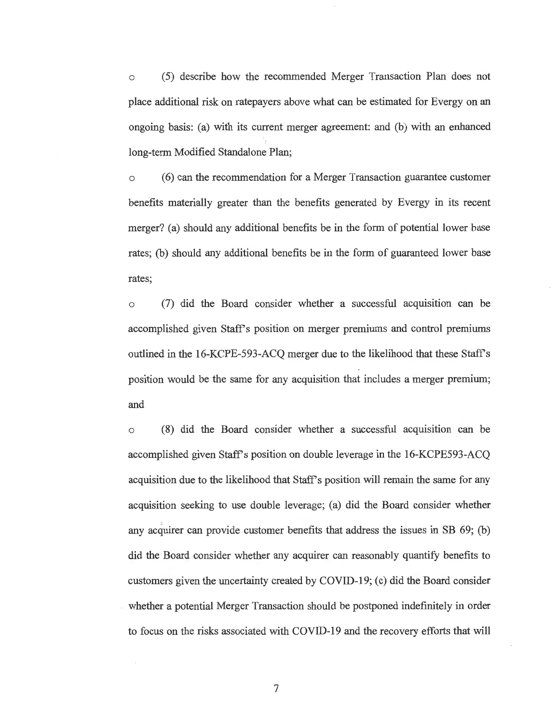o (5) describe how the recommended Merger Transaction Plan does not place additional risk on ratepayers above what can be estimated for Evergy on an ongoing basis: (a) with its current merger agreement: and (b) with an enhanced long-term Modified Standalone Plan;

o (6) can the recommendation for a Merger Transaction guarantee customer benefits materially greater than the benefits generated by Evergy in its recent merger? (a) should any additional benefits be in the form of potential lower base rates; (b) should any additional benefits be in the form of guaranteed lower base rates;

o (7) did the Board consider whether a successful acquisition can be accomplished given Staffs position on merger premiums and control premiums outlined in the 16-KCPE-593-ACQ merger due to the likelihood that these Staffs position would be the same for any acquisition that includes a merger premium; and

o (8) did the Board consider whether a successful acquisition can be accomplished given Staff's position on double leverage in the 16-KCPE593-ACQ acquisition due to the likelihood that Staff's position will remain the same for any acquisition seeking to use double leverage; (a) did the Board consider whether any acquirer can provide customer benefits that address the issues in SB 69; (b) did the Board consider whether any acquirer can reasonably quantify benefits to customers given the uncertainty created by COVID-19; (c) did the Board consider whether a potential Merger Transaction should be postponed indefinitely in order to focus on the risks associated with COVID-19 and the recovery efforts that will

7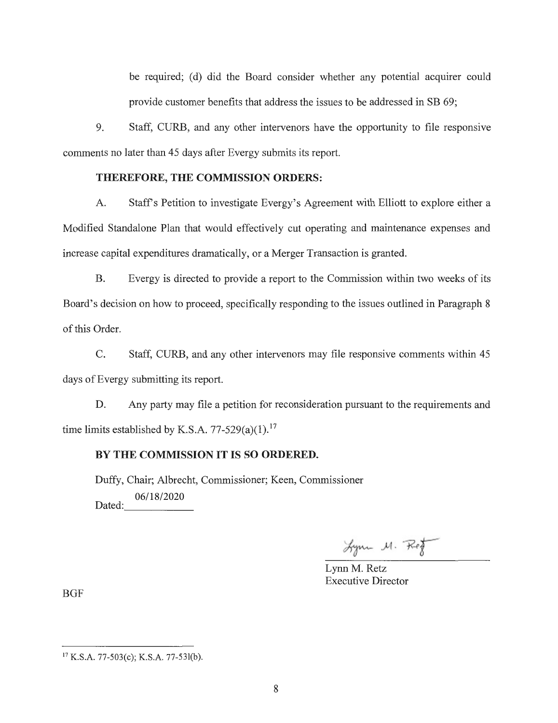be required; (d) did the Board consider whether any potential acquirer could provide customer benefits that address the issues to be addressed in SB 69;

9. Staff, CURB, and any other intervenors have the opportunity to file responsive comments no later than 45 days after Evergy submits its report.

#### **THEREFORE, THE COMMISSION ORDERS:**

A. Staff's Petition to investigate Evergy's Agreement with Elliott to explore either a Modified Standalone Plan that would effectively cut operating and maintenance expenses and increase capital expenditures dramatically, or a Merger Transaction is granted.

B. Evergy is directed to provide a report to the Commission within two weeks of its Board's decision on how to proceed, specifically responding to the issues outlined in Paragraph 8 of this Order.

C. Staff, CURB, and any other intervenors may file responsive comments within 45 days of Evergy submitting its report.

D. Any party may file a petition for reconsideration pursuant to the requirements and time limits established by K.S.A. 77-529(a)(1).<sup>17</sup>

## **BY THE COMMISSION IT IS SO ORDERED.**

Duffy, Chair; Albrecht, Commissioner; Keen, Commissioner Dated:  $-\frac{06/18/2020}{\ }$ 

Lyon M. Rof

Lynn M. Retz Executive Director

BGF

<sup>17</sup>K.S.A. 77-503(c); K.S.A. 77-53l(b).